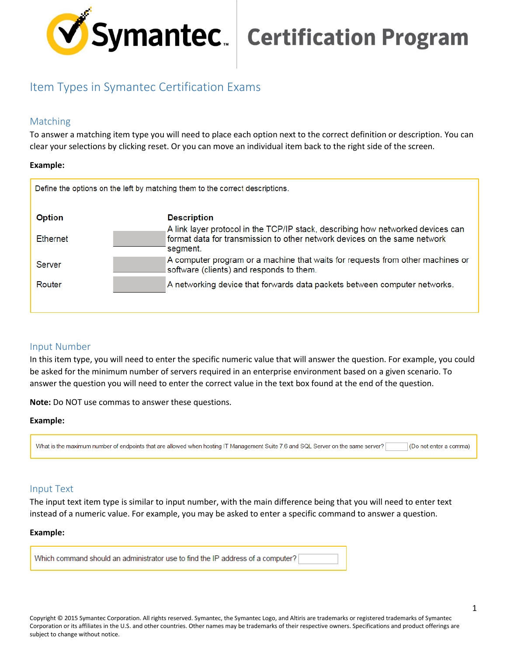

# **Symantec.** Certification Program

# Item Types in Symantec Certification Exams

# Matching

To answer a matching item type you will need to place each option next to the correct definition or description. You can clear your selections by clicking reset. Or you can move an individual item back to the right side of the screen.

## **Example:**

| Define the options on the left by matching them to the correct descriptions. |                                                                                                                                                                          |  |  |
|------------------------------------------------------------------------------|--------------------------------------------------------------------------------------------------------------------------------------------------------------------------|--|--|
| <b>Option</b>                                                                | <b>Description</b>                                                                                                                                                       |  |  |
| <b>Ethernet</b>                                                              | A link layer protocol in the TCP/IP stack, describing how networked devices can<br>format data for transmission to other network devices on the same network<br>segment. |  |  |
| Server                                                                       | A computer program or a machine that waits for requests from other machines or<br>software (clients) and responds to them.                                               |  |  |
| Router                                                                       | A networking device that forwards data packets between computer networks.                                                                                                |  |  |
|                                                                              |                                                                                                                                                                          |  |  |

## Input Number

In this item type, you will need to enter the specific numeric value that will answer the question. For example, you could be asked for the minimum number of servers required in an enterprise environment based on a given scenario. To answer the question you will need to enter the correct value in the text box found at the end of the question.

**Note:** Do NOT use commas to answer these questions.

## **Example:**

What is the maximum number of endpoints that are allowed when hosting IT Management Suite 7.6 and SQL Server on the same server? (Do not enter a comma)

## Input Text

The input text item type is similar to input number, with the main difference being that you will need to enter text instead of a numeric value. For example, you may be asked to enter a specific command to answer a question.

## **Example:**

Which command should an administrator use to find the IP address of a computer?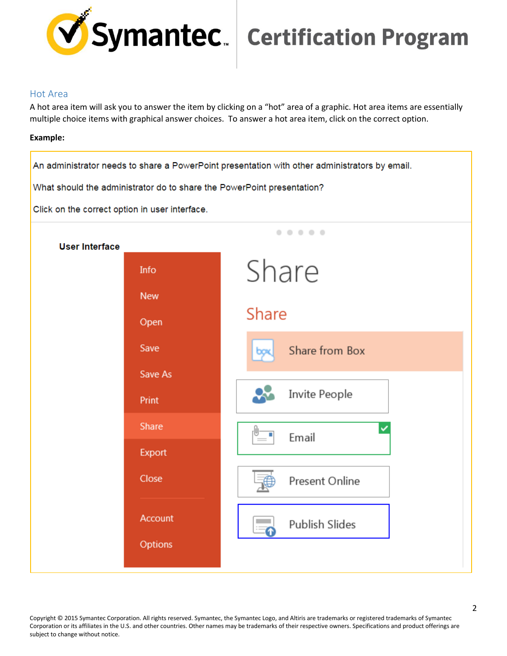

# Symantec. | Certification Program

## Hot Area

A hot area item will ask you to answer the item by clicking on a "hot" area of a graphic. Hot area items are essentially multiple choice items with graphical answer choices. To answer a hot area item, click on the correct option.

## **Example:**

An administrator needs to share a PowerPoint presentation with other administrators by email.

What should the administrator do to share the PowerPoint presentation?

Click on the correct option in user interface.



Copyright © 2015 Symantec Corporation. All rights reserved. Symantec, the Symantec Logo, and Altiris are trademarks or registered trademarks of Symantec Corporation or its affiliates in the U.S. and other countries. Other names may be trademarks of their respective owners. Specifications and product offerings are subject to change without notice.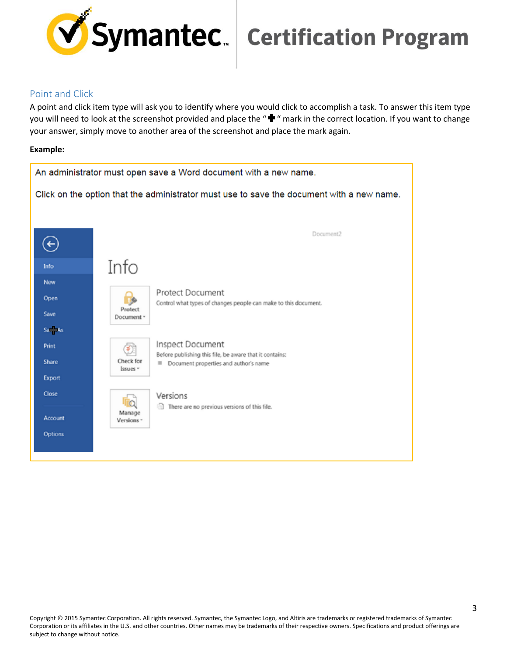

## Point and Click

A point and click item type will ask you to identify where you would click to accomplish a task. To answer this item type you will need to look at the screenshot provided and place the " $\blacktriangleright$ " mark in the correct location. If you want to change your answer, simply move to another area of the screenshot and place the mark again.

## **Example:**

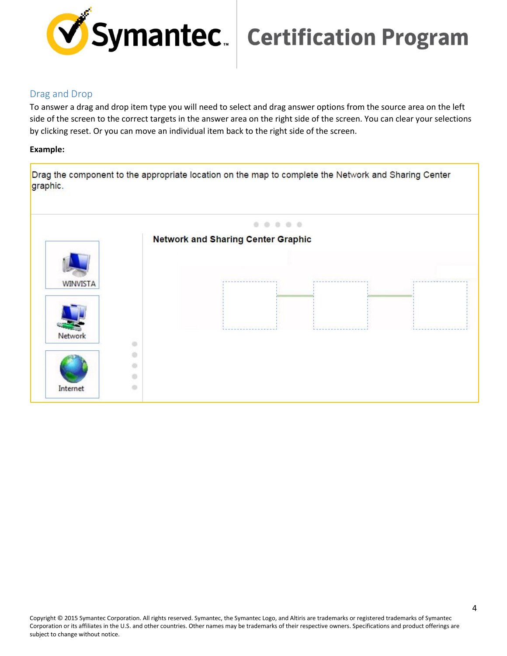

# Drag and Drop

To answer a drag and drop item type you will need to select and drag answer options from the source area on the left side of the screen to the correct targets in the answer area on the right side of the screen. You can clear your selections by clicking reset. Or you can move an individual item back to the right side of the screen.

## **Example:**

Drag the component to the appropriate location on the map to complete the Network and Sharing Center graphic.